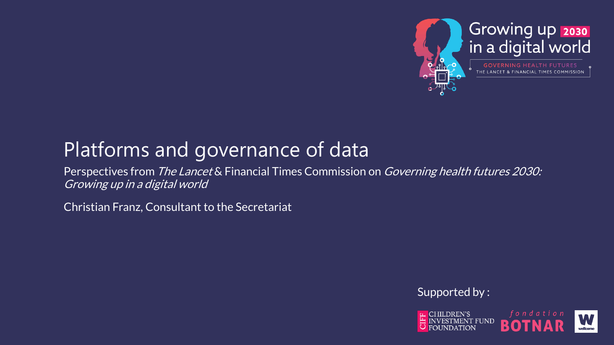

# Platforms and governance of data

Perspectives from The Lancet & Financial Times Commission on Governing health futures 2030: Growing up in a digital world

Christian Franz, Consultant to the Secretariat

Supported by :

CHILDREN'S<br>INVESTMENT EUNID **FUND**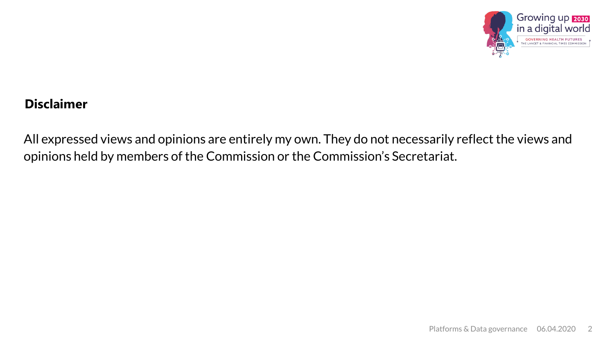

#### **Disclaimer**

All expressed views and opinions are entirely my own. They do not necessarily reflect the views and opinions held by members of the Commission or the Commission's Secretariat.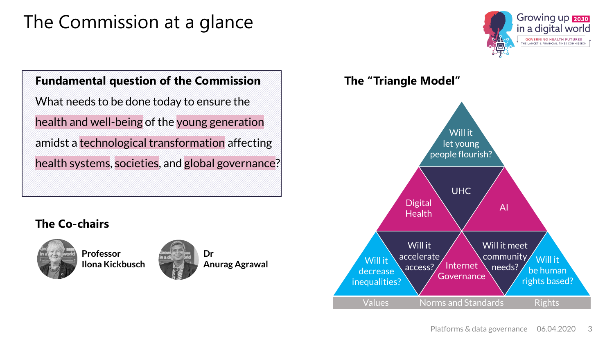# The Commission at a glance

#### Growing up 2030 in a digital world **GOVERNING HEALTH FUTURES E LANCET & FINANCIAL TIMES COMMISS**

## **Fundamental question of the Commission**

U). What needs to be done today to ensure the health and well-being of the young generation amidst a technological transformation affecting health systems, societies, and global governance?

### **The Co-chairs**



**Professor Ilona Kickbusch**



**Anurag Agrawal**

**The "Triangle Model"**

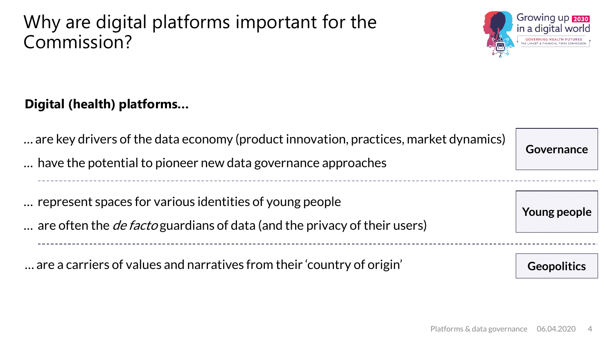# Why are digital platforms important for the Commission?



## **Digital (health) platforms…**

… are key drivers of the data economy (product innovation, practices, market dynamics)

… have the potential to pioneer new data governance approaches

… represent spaces for various identities of young people

... are often the *de facto* guardians of data (and the privacy of their users)

… are a carriers of values and narratives from their 'country of origin'



**Young people**

**Geopolitics**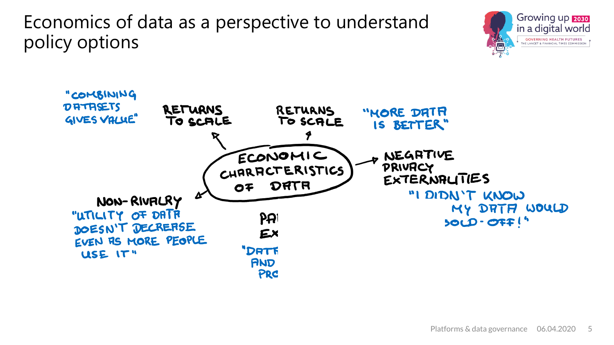Economics of data as a perspective to understand policy options



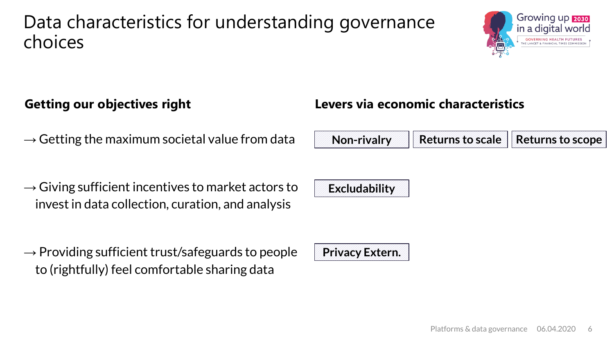## Data characteristics for understanding governance choices



- $\rightarrow$  Getting the maximum societal value from data
- $\rightarrow$  Giving sufficient incentives to market actors to invest in data collection, curation, and analysis
- $\rightarrow$  Providing sufficient trust/safeguards to people to (rightfully) feel comfortable sharing data

**Getting our objectives right Levers via economic characteristics**



**Excludability**

**Privacy Extern.**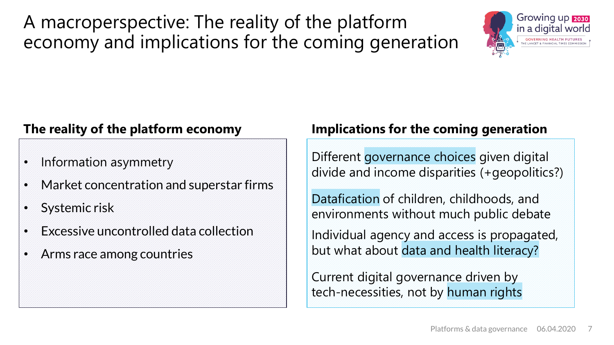A macroperspective: The reality of the platform economy and implications for the coming generation



## **The reality of the platform economy**

- Information asymmetry
- Market concentration and superstar firms
- Systemic risk
- Excessive uncontrolled data collection
- Arms race among countries

## **Implications for the coming generation**

Different governance choices given digital divide and income disparities (+geopolitics?)

Datafication of children, childhoods, and environments without much public debate

Individual agency and access is propagated, but what about data and health literacy?

Current digital governance driven by tech-necessities, not by human rights